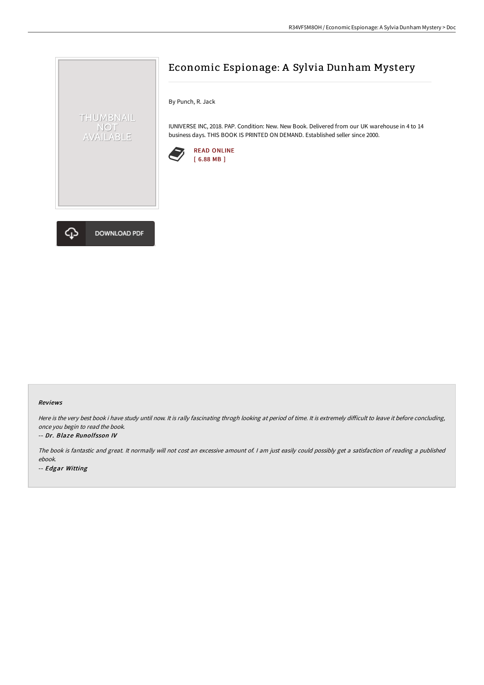

By Punch, R. Jack

IUNIVERSE INC, 2018. PAP. Condition: New. New Book. Delivered from our UK warehouse in 4 to 14 business days. THIS BOOK IS PRINTED ON DEMAND. Established seller since 2000.





THUMBNAIL NOT<br>AVAILABLE

#### Reviews

Here is the very best book i have study until now. It is rally fascinating throgh looking at period of time. It is extremely difficult to leave it before concluding, once you begin to read the book.

#### -- Dr. Blaze Runolfsson IV

The book is fantastic and great. It normally will not cost an excessive amount of. I am just easily could possibly get a satisfaction of reading a published ebook.

-- Edgar Witting